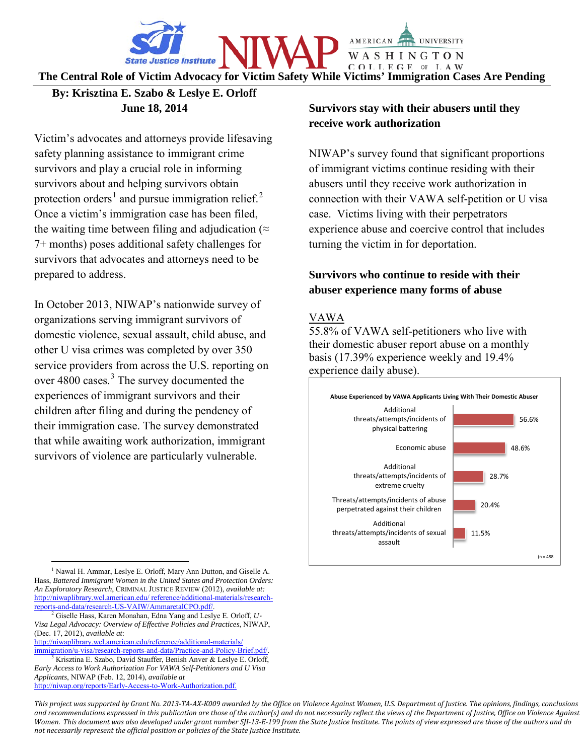

**The Central Role of Victim Advocacy for Victim Safety While Victims' Immigration Cases Are Pending**

## **By: Krisztina E. Szabo & Leslye E. Orloff June 18, 2014**

Victim's advocates and attorneys provide lifesaving safety planning assistance to immigrant crime survivors and play a crucial role in informing survivors about and helping survivors obtain protection orders<sup>[1](#page-0-0)</sup> and pursue immigration relief.<sup>[2](#page-0-1)</sup> Once a victim's immigration case has been filed, the waiting time between filing and adjudication ( $\approx$ 7+ months) poses additional safety challenges for survivors that advocates and attorneys need to be prepared to address.

In October 2013, NIWAP's nationwide survey of organizations serving immigrant survivors of domestic violence, sexual assault, child abuse, and other U visa crimes was completed by over 350 service providers from across the U.S. reporting on over 4800 cases.<sup>[3](#page-0-2)</sup> The survey documented the experiences of immigrant survivors and their children after filing and during the pendency of their immigration case. The survey demonstrated that while awaiting work authorization, immigrant survivors of violence are particularly vulnerable.

 $\overline{a}$ 

[http://niwap.org/reports/Early-Access-to-Work-Authorization.pdf.](http://niwap.org/reports/Early-Access-to-Work-Authorization.pdf)

# **Survivors stay with their abusers until they receive work authorization**

NIWAP's survey found that significant proportions of immigrant victims continue residing with their abusers until they receive work authorization in connection with their VAWA self-petition or U visa case. Victims living with their perpetrators experience abuse and coercive control that includes turning the victim in for deportation.

# **Survivors who continue to reside with their abuser experience many forms of abuse**

## VAWA

55.8% of VAWA self-petitioners who live with their domestic abuser report abuse on a monthly basis (17.39% experience weekly and 19.4% experience daily abuse).



*This project was supported by Grant No. 2013-TA-AX-K009 awarded by the Office on Violence Against Women, U.S. Department of Justice. The opinions, findings, conclusions and recommendations expressed in this publication are those of the author(s) and do not necessarily reflect the views of the Department of Justice, Office on Violence Against Women. This document was also developed under grant number SJI-13-E-199 from the State Justice Institute. The points of view expressed are those of the authors and do not necessarily represent the official position or policies of the State Justice Institute.*

<span id="page-0-0"></span><sup>&</sup>lt;sup>1</sup> Nawal H. Ammar, Leslye E. Orloff, Mary Ann Dutton, and Giselle A. Hass, *Battered Immigrant Women in the United States and Protection Orders: An Exploratory Research*, CRIMINAL JUSTICE REVIEW (2012), *available at:* http://niwaplibrary.wcl.american.edu/ reference/additional-materials/research-<br>reports-and-data/research-US-VAIW/AmmaretalCPO.pdf/.

<span id="page-0-1"></span> $^{2}$  Giselle Hass, Karen Monahan, Edna Yang and Leslye E. Orloff, *U*-*Visa Legal Advocacy: Overview of Effective Policies and Practices*, NIWAP, (Dec. 17, 2012), *available at*:

http://niwaplibrary.wcl.american.edu/reference/additional-materials/<br>immigration/u-visa/research-reports-and-data/Practice-and-Policy-Brief.pdf/

<span id="page-0-2"></span>Krisztina E. Szabo, David Stauffer, Benish Anver & Leslye E. Orloff, *Early Access to Work Authorization For VAWA Self-Petitioners and U Visa Applicants*, NIWAP (Feb. 12, 2014), *available at*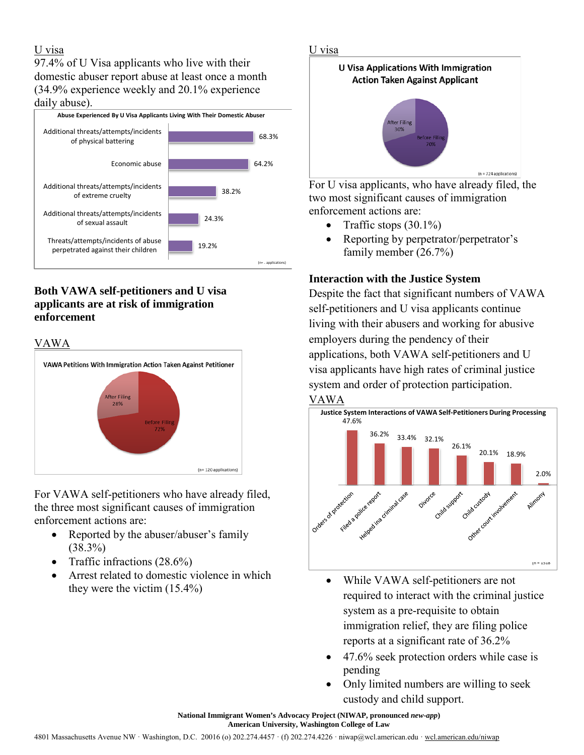## U visa

97.4% of U Visa applicants who live with their domestic abuser report abuse at least once a month (34.9% experience weekly and 20.1% experience daily abuse).



# **Both VAWA self-petitioners and U visa applicants are at risk of immigration enforcement**

#### VAWA



For VAWA self-petitioners who have already filed, the three most significant causes of immigration enforcement actions are:

- Reported by the abuser/abuser's family (38.3%)
- Traffic infractions (28.6%)
- Arrest related to domestic violence in which they were the victim (15.4%)

#### U visa



For U visa applicants, who have already filed, the two most significant causes of immigration enforcement actions are:

- Traffic stops  $(30.1\%)$
- Reporting by perpetrator/perpetrator's family member (26.7%)

## **Interaction with the Justice System**

Despite the fact that significant numbers of VAWA self-petitioners and U visa applicants continue living with their abusers and working for abusive employers during the pendency of their applications, both VAWA self-petitioners and U visa applicants have high rates of criminal justice system and order of protection participation.





- While VAWA self-petitioners are not required to interact with the criminal justice system as a pre-requisite to obtain immigration relief, they are filing police reports at a significant rate of 36.2%
- 47.6% seek protection orders while case is pending
- Only limited numbers are willing to seek custody and child support.

**National Immigrant Women's Advocacy Project (NIWAP, pronounced** *new-app***) American University, Washington College of Law**